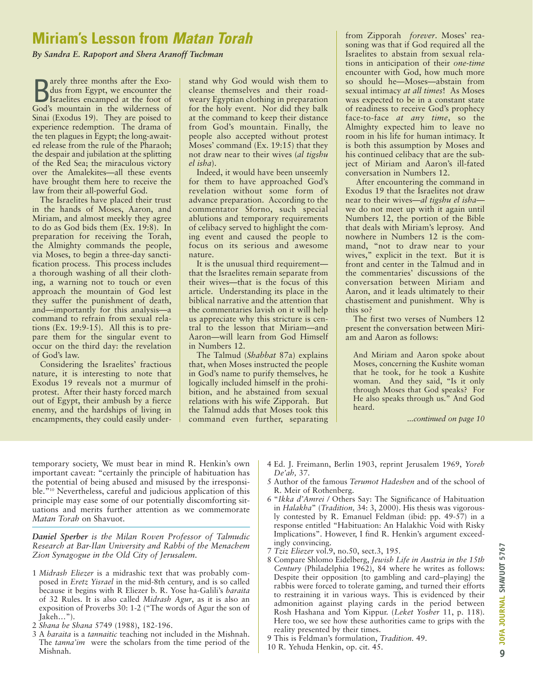## **Miriam's Lesson from Matan Torah**

*By Sandra E. Rapoport and Shera Aranoff Tuchman*

**B** arely three months after the Exo-<br>dus from Egypt, we encounter the<br>Israelites encamped at the foot of arely three months after the Exodus from Egypt, we encounter the God's mountain in the wilderness of Sinai (Exodus 19). They are poised to experience redemption. The drama of the ten plagues in Egypt; the long-awaited release from the rule of the Pharaoh; the despair and jubilation at the splitting of the Red Sea; the miraculous victory over the Amalekites—all these events have brought them here to receive the law from their all-powerful God.

The Israelites have placed their trust in the hands of Moses, Aaron, and Miriam, and almost meekly they agree to do as God bids them (Ex. 19:8). In preparation for receiving the Torah, the Almighty commands the people, via Moses, to begin a three-day sanctification process. This process includes a thorough washing of all their clothing, a warning not to touch or even approach the mountain of God lest they suffer the punishment of death, and—importantly for this analysis—a command to refrain from sexual relations (Ex. 19:9-15). All this is to prepare them for the singular event to occur on the third day: the revelation of God's law.

Considering the Israelites' fractious nature, it is interesting to note that Exodus 19 reveals not a murmur of protest. After their hasty forced march out of Egypt, their ambush by a fierce enemy, and the hardships of living in encampments, they could easily understand why God would wish them to cleanse themselves and their roadweary Egyptian clothing in preparation for the holy event. Nor did they balk at the command to keep their distance from God's mountain. Finally, the people also accepted without protest Moses' command (Ex. 19:15) that they not draw near to their wives (*al tigshu el isha*).

Indeed, it would have been unseemly for them to have approached God's revelation without some form of advance preparation. According to the commentator Sforno, such special ablutions and temporary requirements of celibacy served to highlight the coming event and caused the people to focus on its serious and awesome nature.

It is the unusual third requirement that the Israelites remain separate from their wives—that is the focus of this article. Understanding its place in the biblical narrative and the attention that the commentaries lavish on it will help us appreciate why this stricture is central to the lesson that Miriam—and Aaron—will learn from God Himself in Numbers 12.

The Talmud (*Shabbat* 87a) explains that, when Moses instructed the people in God's name to purify themselves, he logically included himself in the prohibition, and he abstained from sexual relations with his wife Zipporah. But the Talmud adds that Moses took this command even further, separating from Zipporah *forever*. Moses' reasoning was that if God required all the Israelites to abstain from sexual relations in anticipation of their *one-time* encounter with God, how much more so should he—Moses—abstain from sexual intimacy *at all times*! As Moses was expected to be in a constant state of readiness to receive God's prophecy face-to-face *at any time*, so the Almighty expected him to leave no room in his life for human intimacy. It is both this assumption by Moses and his continued celibacy that are the subject of Miriam and Aaron's ill-fated conversation in Numbers 12.

After encountering the command in Exodus 19 that the Israelites not draw near to their wives—*al tigshu el isha* we do not meet up with it again until Numbers 12, the portion of the Bible that deals with Miriam's leprosy. And nowhere in Numbers 12 is the command, "not to draw near to your wives," explicit in the text. But it is front and center in the Talmud and in the commentaries' discussions of the conversation between Miriam and Aaron, and it leads ultimately to their chastisement and punishment. Why is this so?

The first two verses of Numbers 12 present the conversation between Miriam and Aaron as follows:

And Miriam and Aaron spoke about Moses, concerning the Kushite woman that he took, for he took a Kushite woman. And they said, "Is it only through Moses that God speaks? For He also speaks through us." And God heard.

*...continued on page 10*

temporary society, We must bear in mind R. Henkin's own important caveat: "certainly the principle of habituation has the potential of being abused and misused by the irresponsible."10 Nevertheless, careful and judicious application of this principle may ease some of our potentially discomforting situations and merits further attention as we commemorate *Matan Torah* on Shavuot.

*Daniel Sperber is the Milan Roven Professor of Talmudic Research at Bar-Ilan University and Rabbi of the Menachem Zion Synagogue in the Old City of Jerusalem.*

- 1 *Midrash Eliezer* is a midrashic text that was probably composed in *Eretz Yisrael* in the mid-8th century, and is so called because it begins with R Eliezer b. R. Yose ha-Galili's *baraita* of 32 Rules. It is also called *Midrash Agur*, as it is also an exposition of Proverbs 30: 1-2 ("The words of Agur the son of Jakeh…").
- 2 *Shana be Shana* 5749 (1988), 182-196.
- 3 A *baraita* is a *tannaitic* teaching not included in the Mishnah. The *tanna'im* were the scholars from the time period of the Mishnah.
- 4 Ed. J. Freimann, Berlin 1903, reprint Jerusalem 1969, *Yoreh De'ah,* 37.
- 5 Author of the famous *Terumot Hadeshen* and of the school of R. Meir of Rothenberg.
- 6 "*Ikka d'Amrei /* Others Say: The Significance of Habituation in *Halakha*" (*Tradition,* 34: 3, 2000). His thesis was vigorously contested by R. Emanuel Feldman (ibid: pp. 49-57) in a response entitled "Habituation: An Halakhic Void with Risky Implications". However, I find R. Henkin's argument exceedingly convincing.
- 7 *Tziz Eliezer* vol.9, no.50, sect.3, 195.
- 8 Compare Shlomo Eidelberg, *Jewish Life in Austria in the 15th Century* (Philadelphia 1962), 84 where he writes as follows: Despite their opposition {to gambling and card–playing} the rabbis were forced to tolerate gaming, and turned their efforts to restraining it in various ways. This is evidenced by their admonition against playing cards in the period between Rosh Hashana and Yom Kippur. (*Leket Yosher* 11, p. 118). Here too, we see how these authorities came to grips with the reality presented by their times.
- 9 This is Feldman's formulation, *Tradition.* 49.
- 10 R. Yehuda Henkin, op. cit. 45.